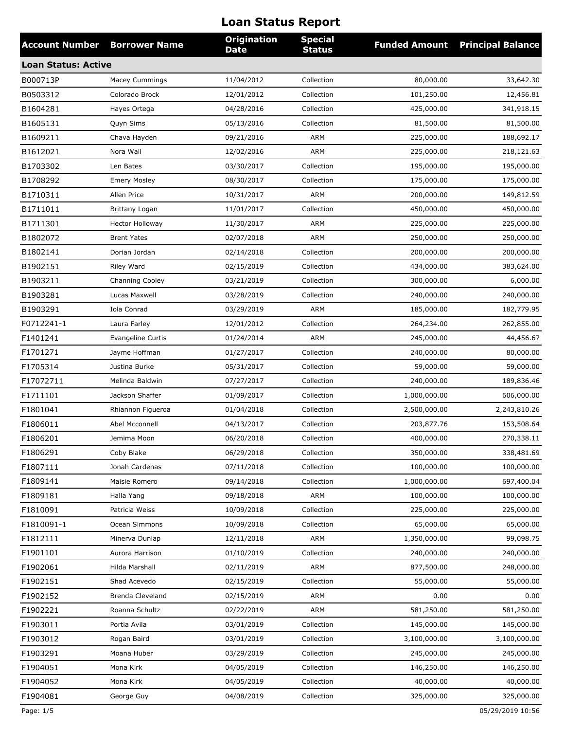| <b>Account Number</b>      | <b>Borrower Name</b>     | <b>Origination</b><br><b>Date</b> | <b>Special</b><br><b>Status</b> | <b>Funded Amount</b> | <b>Principal Balance</b> |
|----------------------------|--------------------------|-----------------------------------|---------------------------------|----------------------|--------------------------|
| <b>Loan Status: Active</b> |                          |                                   |                                 |                      |                          |
| B000713P                   | <b>Macey Cummings</b>    | 11/04/2012                        | Collection                      | 80,000.00            | 33,642.30                |
| B0503312                   | Colorado Brock           | 12/01/2012                        | Collection                      | 101,250.00           | 12,456.81                |
| B1604281                   | Hayes Ortega             | 04/28/2016                        | Collection                      | 425,000.00           | 341,918.15               |
| B1605131                   | Quyn Sims                | 05/13/2016                        | Collection                      | 81,500.00            | 81,500.00                |
| B1609211                   | Chava Hayden             | 09/21/2016                        | <b>ARM</b>                      | 225,000.00           | 188,692.17               |
| B1612021                   | Nora Wall                | 12/02/2016                        | <b>ARM</b>                      | 225,000.00           | 218,121.63               |
| B1703302                   | Len Bates                | 03/30/2017                        | Collection                      | 195,000.00           | 195,000.00               |
| B1708292                   | <b>Emery Mosley</b>      | 08/30/2017                        | Collection                      | 175,000.00           | 175,000.00               |
| B1710311                   | Allen Price              | 10/31/2017                        | ARM                             | 200,000.00           | 149,812.59               |
| B1711011                   | Brittany Logan           | 11/01/2017                        | Collection                      | 450,000.00           | 450,000.00               |
| B1711301                   | <b>Hector Holloway</b>   | 11/30/2017                        | <b>ARM</b>                      | 225,000.00           | 225,000.00               |
| B1802072                   | <b>Brent Yates</b>       | 02/07/2018                        | ARM                             | 250,000.00           | 250,000.00               |
| B1802141                   | Dorian Jordan            | 02/14/2018                        | Collection                      | 200,000.00           | 200,000.00               |
| B1902151                   | Riley Ward               | 02/15/2019                        | Collection                      | 434,000.00           | 383,624.00               |
| B1903211                   | <b>Channing Cooley</b>   | 03/21/2019                        | Collection                      | 300,000.00           | 6,000.00                 |
| B1903281                   | Lucas Maxwell            | 03/28/2019                        | Collection                      | 240,000.00           | 240,000.00               |
| B1903291                   | Iola Conrad              | 03/29/2019                        | <b>ARM</b>                      | 185,000.00           | 182,779.95               |
| F0712241-1                 | Laura Farley             | 12/01/2012                        | Collection                      | 264,234.00           | 262,855.00               |
| F1401241                   | <b>Evangeline Curtis</b> | 01/24/2014                        | ARM                             | 245,000.00           | 44,456.67                |
| F1701271                   | Jayme Hoffman            | 01/27/2017                        | Collection                      | 240,000.00           | 80,000.00                |
| F1705314                   | Justina Burke            | 05/31/2017                        | Collection                      | 59,000.00            | 59,000.00                |
| F17072711                  | Melinda Baldwin          | 07/27/2017                        | Collection                      | 240,000.00           | 189,836.46               |
| F1711101                   | Jackson Shaffer          | 01/09/2017                        | Collection                      | 1,000,000.00         | 606,000.00               |
| F1801041                   | Rhiannon Figueroa        | 01/04/2018                        | Collection                      | 2,500,000.00         | 2,243,810.26             |
| F1806011                   | Abel Mcconnell           | 04/13/2017                        | Collection                      | 203,877.76           | 153,508.64               |
| F1806201                   | Jemima Moon              | 06/20/2018                        | Collection                      | 400,000.00           | 270,338.11               |
| F1806291                   | Coby Blake               | 06/29/2018                        | Collection                      | 350,000.00           | 338,481.69               |
| F1807111                   | Jonah Cardenas           | 07/11/2018                        | Collection                      | 100,000.00           | 100,000.00               |
| F1809141                   | Maisie Romero            | 09/14/2018                        | Collection                      | 1,000,000.00         | 697,400.04               |
| F1809181                   | Halla Yang               | 09/18/2018                        | ARM                             | 100,000.00           | 100,000.00               |
| F1810091                   | Patricia Weiss           | 10/09/2018                        | Collection                      | 225,000.00           | 225,000.00               |
| F1810091-1                 | Ocean Simmons            | 10/09/2018                        | Collection                      | 65,000.00            | 65,000.00                |
| F1812111                   | Minerva Dunlap           | 12/11/2018                        | ARM                             | 1,350,000.00         | 99,098.75                |
| F1901101                   | Aurora Harrison          | 01/10/2019                        | Collection                      | 240,000.00           | 240,000.00               |
| F1902061                   | Hilda Marshall           | 02/11/2019                        | ARM                             | 877,500.00           | 248,000.00               |
| F1902151                   | Shad Acevedo             | 02/15/2019                        | Collection                      | 55,000.00            | 55,000.00                |
| F1902152                   | Brenda Cleveland         | 02/15/2019                        | ARM                             | 0.00                 | 0.00                     |
| F1902221                   | Roanna Schultz           | 02/22/2019                        | ARM                             | 581,250.00           | 581,250.00               |
| F1903011                   | Portia Avila             | 03/01/2019                        | Collection                      | 145,000.00           | 145,000.00               |
| F1903012                   | Rogan Baird              | 03/01/2019                        | Collection                      | 3,100,000.00         | 3,100,000.00             |
| F1903291                   | Moana Huber              | 03/29/2019                        | Collection                      | 245,000.00           | 245,000.00               |
| F1904051                   | Mona Kirk                | 04/05/2019                        | Collection                      | 146,250.00           | 146,250.00               |
| F1904052                   | Mona Kirk                | 04/05/2019                        | Collection                      | 40,000.00            | 40,000.00                |
| F1904081                   | George Guy               | 04/08/2019                        | Collection                      | 325,000.00           | 325,000.00               |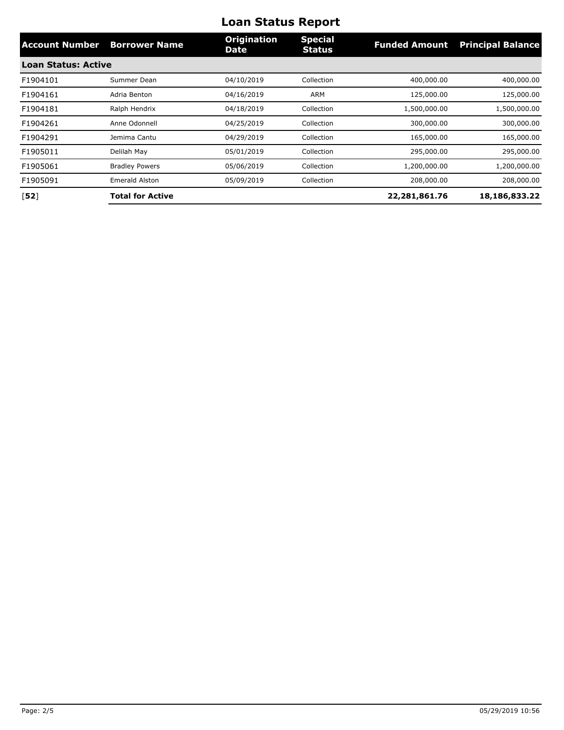| <b>Account Number</b>      | <b>Borrower Name</b>    | <b>Origination</b><br><b>Date</b> | <b>Special</b><br><b>Status</b> | <b>Funded Amount</b> | <b>Principal Balance</b> |
|----------------------------|-------------------------|-----------------------------------|---------------------------------|----------------------|--------------------------|
| <b>Loan Status: Active</b> |                         |                                   |                                 |                      |                          |
| F1904101                   | Summer Dean             | 04/10/2019                        | Collection                      | 400,000.00           | 400,000.00               |
| F1904161                   | Adria Benton            | 04/16/2019                        | <b>ARM</b>                      | 125,000.00           | 125,000.00               |
| F1904181                   | Ralph Hendrix           | 04/18/2019                        | Collection                      | 1,500,000.00         | 1,500,000.00             |
| F1904261                   | Anne Odonnell           | 04/25/2019                        | Collection                      | 300,000.00           | 300,000.00               |
| F1904291                   | Jemima Cantu            | 04/29/2019                        | Collection                      | 165,000.00           | 165,000.00               |
| F1905011                   | Delilah May             | 05/01/2019                        | Collection                      | 295,000.00           | 295,000.00               |
| F1905061                   | <b>Bradley Powers</b>   | 05/06/2019                        | Collection                      | 1,200,000.00         | 1,200,000.00             |
| F1905091                   | <b>Emerald Alston</b>   | 05/09/2019                        | Collection                      | 208,000.00           | 208,000.00               |
| [52]                       | <b>Total for Active</b> |                                   |                                 | 22,281,861.76        | 18,186,833.22            |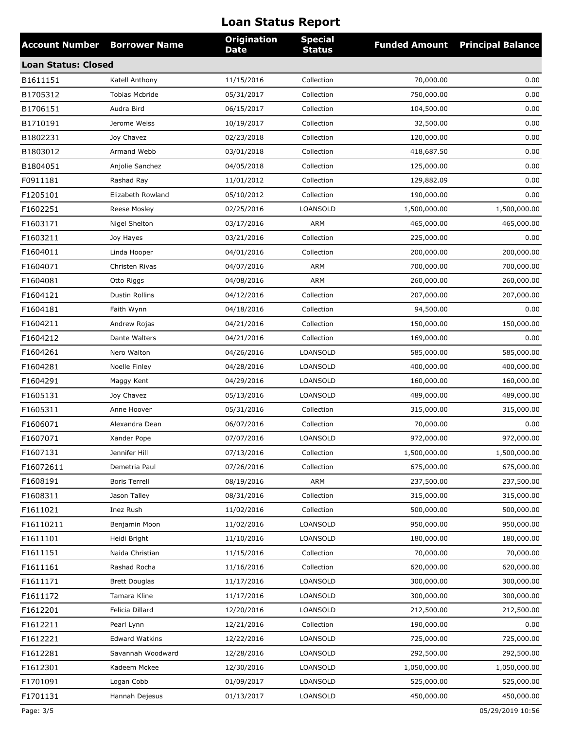| <b>Account Number</b>      | <b>Borrower Name</b>  | <b>Origination</b><br><b>Date</b> | <b>Special</b><br><b>Status</b> | <b>Funded Amount</b> | <b>Principal Balance</b> |
|----------------------------|-----------------------|-----------------------------------|---------------------------------|----------------------|--------------------------|
| <b>Loan Status: Closed</b> |                       |                                   |                                 |                      |                          |
| B1611151                   | Katell Anthony        | 11/15/2016                        | Collection                      | 70,000.00            | 0.00                     |
| B1705312                   | <b>Tobias Mcbride</b> | 05/31/2017                        | Collection                      | 750,000.00           | 0.00                     |
| B1706151                   | Audra Bird            | 06/15/2017                        | Collection                      | 104,500.00           | 0.00                     |
| B1710191                   | Jerome Weiss          | 10/19/2017                        | Collection                      | 32,500.00            | 0.00                     |
| B1802231                   | Joy Chavez            | 02/23/2018                        | Collection                      | 120,000.00           | 0.00                     |
| B1803012                   | Armand Webb           | 03/01/2018                        | Collection                      | 418,687.50           | 0.00                     |
| B1804051                   | Anjolie Sanchez       | 04/05/2018                        | Collection                      | 125,000.00           | 0.00                     |
| F0911181                   | Rashad Ray            | 11/01/2012                        | Collection                      | 129,882.09           | 0.00                     |
| F1205101                   | Elizabeth Rowland     | 05/10/2012                        | Collection                      | 190,000.00           | 0.00                     |
| F1602251                   | Reese Mosley          | 02/25/2016                        | LOANSOLD                        | 1,500,000.00         | 1,500,000.00             |
| F1603171                   | Nigel Shelton         | 03/17/2016                        | ARM                             | 465,000.00           | 465,000.00               |
| F1603211                   | Joy Hayes             | 03/21/2016                        | Collection                      | 225,000.00           | 0.00                     |
| F1604011                   | Linda Hooper          | 04/01/2016                        | Collection                      | 200,000.00           | 200,000.00               |
| F1604071                   | Christen Rivas        | 04/07/2016                        | ARM                             | 700,000.00           | 700,000.00               |
| F1604081                   | Otto Riggs            | 04/08/2016                        | ARM                             | 260,000.00           | 260,000.00               |
| F1604121                   | <b>Dustin Rollins</b> | 04/12/2016                        | Collection                      | 207,000.00           | 207,000.00               |
| F1604181                   | Faith Wynn            | 04/18/2016                        | Collection                      | 94,500.00            | 0.00                     |
| F1604211                   | Andrew Rojas          | 04/21/2016                        | Collection                      | 150,000.00           | 150,000.00               |
| F1604212                   | Dante Walters         | 04/21/2016                        | Collection                      | 169,000.00           | 0.00                     |
| F1604261                   | Nero Walton           | 04/26/2016                        | LOANSOLD                        | 585,000.00           | 585,000.00               |
| F1604281                   | Noelle Finley         | 04/28/2016                        | LOANSOLD                        | 400,000.00           | 400,000.00               |
| F1604291                   | Maggy Kent            | 04/29/2016                        | <b>LOANSOLD</b>                 | 160,000.00           | 160,000.00               |
| F1605131                   | Joy Chavez            | 05/13/2016                        | LOANSOLD                        | 489,000.00           | 489,000.00               |
| F1605311                   | Anne Hoover           | 05/31/2016                        | Collection                      | 315,000.00           | 315,000.00               |
| F1606071                   | Alexandra Dean        | 06/07/2016                        | Collection                      | 70,000.00            | 0.00                     |
| F1607071                   | Xander Pope           | 07/07/2016                        | LOANSOLD                        | 972,000.00           | 972,000.00               |
| F1607131                   | Jennifer Hill         | 07/13/2016                        | Collection                      | 1,500,000.00         | 1,500,000.00             |
| F16072611                  | Demetria Paul         | 07/26/2016                        | Collection                      | 675,000.00           | 675,000.00               |
| F1608191                   | <b>Boris Terrell</b>  | 08/19/2016                        | ARM                             | 237,500.00           | 237,500.00               |
| F1608311                   | Jason Talley          | 08/31/2016                        | Collection                      | 315,000.00           | 315,000.00               |
| F1611021                   | Inez Rush             | 11/02/2016                        | Collection                      | 500,000.00           | 500,000.00               |
| F16110211                  | Benjamin Moon         | 11/02/2016                        | LOANSOLD                        | 950,000.00           | 950,000.00               |
| F1611101                   | Heidi Bright          | 11/10/2016                        | LOANSOLD                        | 180,000.00           | 180,000.00               |
| F1611151                   | Naida Christian       | 11/15/2016                        | Collection                      | 70,000.00            | 70,000.00                |
| F1611161                   | Rashad Rocha          | 11/16/2016                        | Collection                      | 620,000.00           | 620,000.00               |
| F1611171                   | <b>Brett Douglas</b>  | 11/17/2016                        | LOANSOLD                        | 300,000.00           | 300,000.00               |
| F1611172                   | Tamara Kline          | 11/17/2016                        | LOANSOLD                        | 300,000.00           | 300,000.00               |
| F1612201                   | Felicia Dillard       | 12/20/2016                        | LOANSOLD                        | 212,500.00           | 212,500.00               |
| F1612211                   | Pearl Lynn            | 12/21/2016                        | Collection                      | 190,000.00           | 0.00                     |
| F1612221                   | <b>Edward Watkins</b> | 12/22/2016                        | LOANSOLD                        | 725,000.00           | 725,000.00               |
| F1612281                   | Savannah Woodward     | 12/28/2016                        | LOANSOLD                        | 292,500.00           | 292,500.00               |
| F1612301                   | Kadeem Mckee          | 12/30/2016                        | LOANSOLD                        | 1,050,000.00         | 1,050,000.00             |
| F1701091                   | Logan Cobb            | 01/09/2017                        | LOANSOLD                        | 525,000.00           | 525,000.00               |
| F1701131                   | Hannah Dejesus        | 01/13/2017                        | LOANSOLD                        | 450,000.00           | 450,000.00               |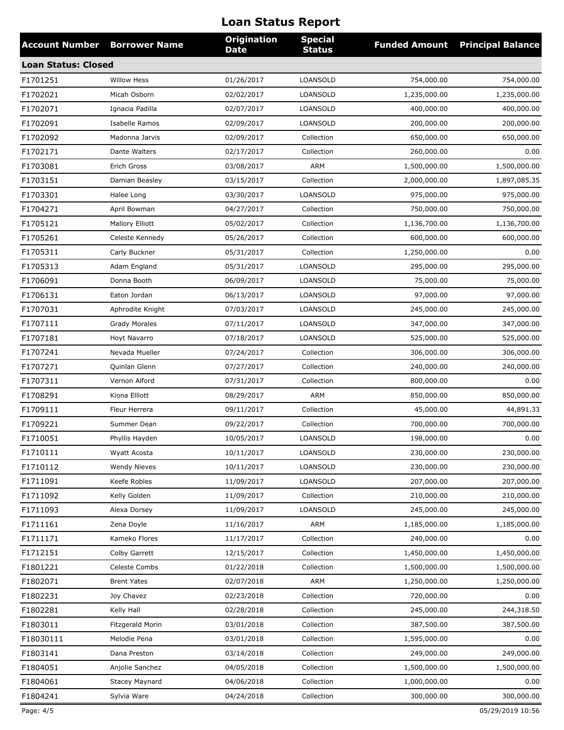| <b>Account Number</b>      | <b>Borrower Name</b>   | <b>Origination</b><br><b>Date</b> | <b>Special</b><br><b>Status</b> | <b>Funded Amount</b> | <b>Principal Balance</b> |
|----------------------------|------------------------|-----------------------------------|---------------------------------|----------------------|--------------------------|
| <b>Loan Status: Closed</b> |                        |                                   |                                 |                      |                          |
| F1701251                   | <b>Willow Hess</b>     | 01/26/2017                        | LOANSOLD                        | 754,000.00           | 754,000.00               |
| F1702021                   | Micah Osborn           | 02/02/2017                        | LOANSOLD                        | 1,235,000.00         | 1,235,000.00             |
| F1702071                   | Ignacia Padilla        | 02/07/2017                        | <b>LOANSOLD</b>                 | 400,000.00           | 400,000.00               |
| F1702091                   | Isabelle Ramos         | 02/09/2017                        | LOANSOLD                        | 200,000.00           | 200,000.00               |
| F1702092                   | Madonna Jarvis         | 02/09/2017                        | Collection                      | 650,000.00           | 650,000.00               |
| F1702171                   | Dante Walters          | 02/17/2017                        | Collection                      | 260,000.00           | 0.00                     |
| F1703081                   | Erich Gross            | 03/08/2017                        | ARM                             | 1,500,000.00         | 1,500,000.00             |
| F1703151                   | Damian Beasley         | 03/15/2017                        | Collection                      | 2,000,000.00         | 1,897,085.35             |
| F1703301                   | Halee Long             | 03/30/2017                        | LOANSOLD                        | 975,000.00           | 975,000.00               |
| F1704271                   | April Bowman           | 04/27/2017                        | Collection                      | 750,000.00           | 750,000.00               |
| F1705121                   | <b>Mallory Elliott</b> | 05/02/2017                        | Collection                      | 1,136,700.00         | 1,136,700.00             |
| F1705261                   | Celeste Kennedy        | 05/26/2017                        | Collection                      | 600,000.00           | 600,000.00               |
| F1705311                   | Carly Buckner          | 05/31/2017                        | Collection                      | 1,250,000.00         | 0.00                     |
| F1705313                   | Adam England           | 05/31/2017                        | LOANSOLD                        | 295,000.00           | 295,000.00               |
| F1706091                   | Donna Booth            | 06/09/2017                        | LOANSOLD                        | 75,000.00            | 75,000.00                |
| F1706131                   | Eaton Jordan           | 06/13/2017                        | LOANSOLD                        | 97,000.00            | 97,000.00                |
| F1707031                   | Aphrodite Knight       | 07/03/2017                        | LOANSOLD                        | 245,000.00           | 245,000.00               |
| F1707111                   | <b>Grady Morales</b>   | 07/11/2017                        | LOANSOLD                        | 347,000.00           | 347,000.00               |
| F1707181                   | Hoyt Navarro           | 07/18/2017                        | <b>LOANSOLD</b>                 | 525,000.00           | 525,000.00               |
| F1707241                   | Nevada Mueller         | 07/24/2017                        | Collection                      | 306,000.00           | 306,000.00               |
| F1707271                   | Quinlan Glenn          | 07/27/2017                        | Collection                      | 240,000.00           | 240,000.00               |
| F1707311                   | Vernon Alford          | 07/31/2017                        | Collection                      | 800,000.00           | 0.00                     |
| F1708291                   | Kiona Elliott          | 08/29/2017                        | <b>ARM</b>                      | 850,000.00           | 850,000.00               |
| F1709111                   | Fleur Herrera          | 09/11/2017                        | Collection                      | 45,000.00            | 44,891.33                |
| F1709221                   | Summer Dean            | 09/22/2017                        | Collection                      | 700,000.00           | 700,000.00               |
| F1710051                   | Phyllis Hayden         | 10/05/2017                        | LOANSOLD                        | 198,000.00           | 0.00                     |
| F1710111                   | Wyatt Acosta           | 10/11/2017                        | LOANSOLD                        | 230,000.00           | 230,000.00               |
| F1710112                   | <b>Wendy Nieves</b>    | 10/11/2017                        | LOANSOLD                        | 230,000.00           | 230,000.00               |
| F1711091                   | Keefe Robles           | 11/09/2017                        | LOANSOLD                        | 207,000.00           | 207,000.00               |
| F1711092                   | Kelly Golden           | 11/09/2017                        | Collection                      | 210,000.00           | 210,000.00               |
| F1711093                   | Alexa Dorsey           | 11/09/2017                        | LOANSOLD                        | 245,000.00           | 245,000.00               |
| F1711161                   | Zena Doyle             | 11/16/2017                        | ARM                             | 1,185,000.00         | 1,185,000.00             |
| F1711171                   | Kameko Flores          | 11/17/2017                        | Collection                      | 240,000.00           | 0.00                     |
| F1712151                   | Colby Garrett          | 12/15/2017                        | Collection                      | 1,450,000.00         | 1,450,000.00             |
| F1801221                   | Celeste Combs          | 01/22/2018                        | Collection                      | 1,500,000.00         | 1,500,000.00             |
| F1802071                   | <b>Brent Yates</b>     | 02/07/2018                        | ARM                             | 1,250,000.00         | 1,250,000.00             |
| F1802231                   | Joy Chavez             | 02/23/2018                        | Collection                      | 720,000.00           | 0.00                     |
| F1802281                   | Kelly Hall             | 02/28/2018                        | Collection                      | 245,000.00           | 244,318.50               |
| F1803011                   | Fitzgerald Morin       | 03/01/2018                        | Collection                      | 387,500.00           | 387,500.00               |
| F18030111                  | Melodie Pena           | 03/01/2018                        | Collection                      | 1,595,000.00         | 0.00                     |
| F1803141                   | Dana Preston           | 03/14/2018                        | Collection                      | 249,000.00           | 249,000.00               |
| F1804051                   | Anjolie Sanchez        | 04/05/2018                        | Collection                      | 1,500,000.00         | 1,500,000.00             |
| F1804061                   | Stacey Maynard         | 04/06/2018                        | Collection                      | 1,000,000.00         | 0.00                     |
| F1804241                   | Sylvia Ware            | 04/24/2018                        | Collection                      | 300,000.00           | 300,000.00               |